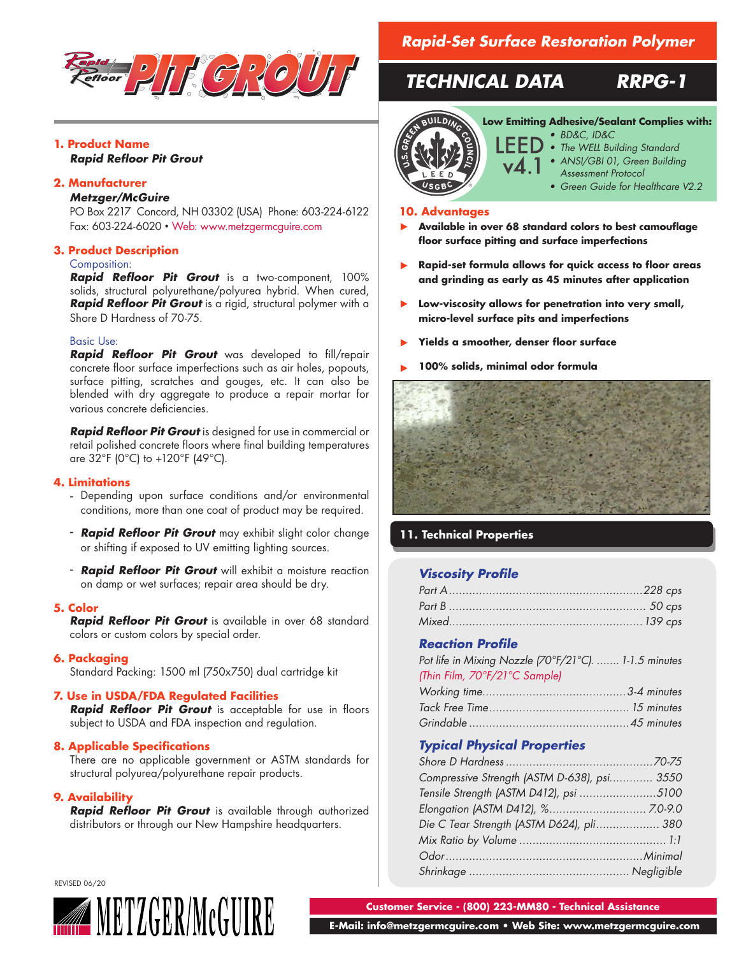

# **1. Product Name**

*Rapid Refloor Pit Grout*

# **2. Manufacturer**

#### *Metzger/McGuire*

PO Box 2217 Concord, NH 03302 (USA) Phone: 603-224-6122 Fax: 603-224-6020 • Web: www.metzgermcguire.com

## **3. Product Description**

## Composition:

*Rapid Refloor Pit Grout* is a two-component, 100% solids, structural polyurethane/polyurea hybrid. When cured, *Rapid Refloor Pit Grout* is a rigid, structural polymer with a Shore D Hardness of 70-75.

#### Basic Use:

*Rapid Refloor Pit Grout* was developed to fill/repair concrete floor surface imperfections such as air holes, popouts, surface pitting, scratches and gouges, etc. It can also be blended with dry aggregate to produce a repair mortar for various concrete deficiencies.

*Rapid Refloor Pit Grout* is designed for use in commercial or retail polished concrete floors where final building temperatures are 32°F (0°C) to +120°F (49°C).

## **4. Limitations**

- Depending upon surface conditions and/or environmental conditions, more than one coat of product may be required.
- *Rapid Refloor Pit Grout* may exhibit slight color change or shifting if exposed to UV emitting lighting sources.
- *Rapid Refloor Pit Grout* will exhibit a moisture reaction on damp or wet surfaces; repair area should be dry.

#### **5. Color**

*Rapid Refloor Pit Grout* is available in over 68 standard colors or custom colors by special order.

#### **6. Packaging**

Standard Packing: 1500 ml (750x750) dual cartridge kit

#### **7. Use in USDA/FDA Regulated Facilities**

*Rapid Refloor Pit Grout* is acceptable for use in floors subject to USDA and FDA inspection and regulation.

#### **8. Applicable Specifications**

There are no applicable government or ASTM standards for structural polyurea/polyurethane repair products.

## **9. Availability**

*Rapid Refloor Pit Grout* is available through authorized distributors or through our New Hampshire headquarters.

# *Rapid-Set Surface Restoration Polymer*

# *TECHNICAL DATA RRPG-1*



## **Low Emitting Adhesive/Sealant Complies with:**

- *• BD&C, ID&C • The WELL Building Standard*
- *• ANSI/GBI 01, Green Building*
- *Assessment Protocol*
	- *• Green Guide for Healthcare V2.2*

#### **10. Advantages**

- **Available in over 68 standard colors to best camouflage floor surface pitting and surface imperfections**  ▶
- **Rapid-set formula allows for quick access to floor areas and grinding as early as 45 minutes after application**  ▶
- **Low-viscosity allows for penetration into very small,**  ▶ **micro-level surface pits and imperfections**
- **Yields a smoother, denser floor surface**  ▶
- **100% solids, minimal odor formula** ▶



# **11. Technical Properties**

# *Viscosity Profile*

# *Reaction Profile*

| Pot life in Mixing Nozzle [70°F/21°C].  1-1.5 minutes |  |
|-------------------------------------------------------|--|
| (Thin Film, 70°F/21°C Sample)                         |  |
|                                                       |  |
|                                                       |  |
|                                                       |  |

# *Typical Physical Properties*

| Compressive Strength (ASTM D-638), psi 3550 |  |
|---------------------------------------------|--|
| Tensile Strength (ASTM D412), psi 5100      |  |
|                                             |  |
| Die C Tear Strength (ASTM D624), pli 380    |  |
|                                             |  |
|                                             |  |
|                                             |  |

REVISED 06/20



**Customer Service - (800) 223-MM80 - Technical Assistance**